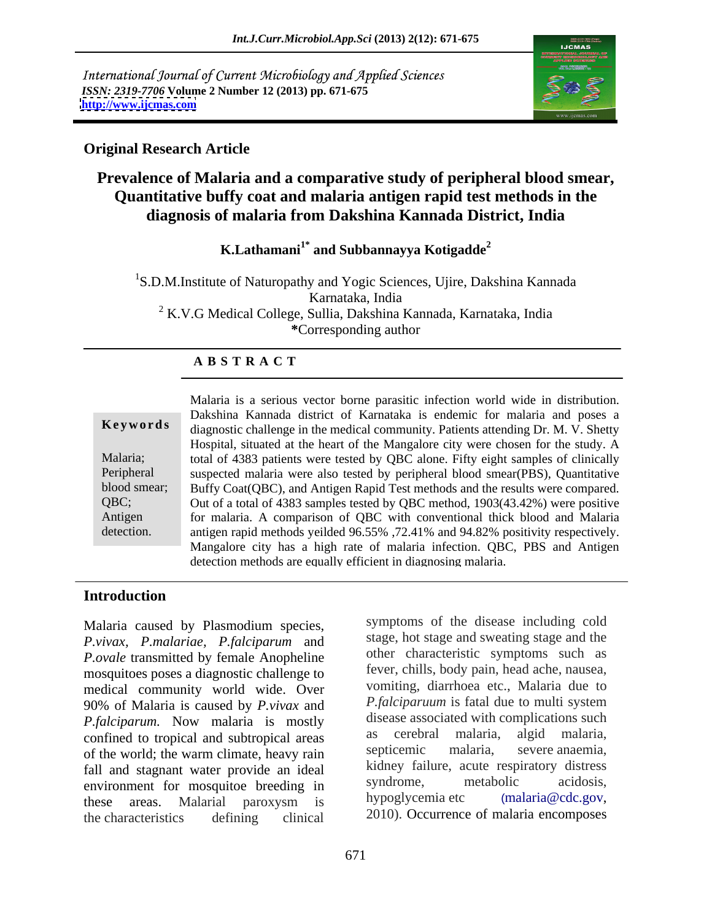International Journal of Current Microbiology and Applied Sciences *ISSN: 2319-7706* **Volume 2 Number 12 (2013) pp. 671-675 <http://www.ijcmas.com>**



### **Original Research Article**

# **Prevalence of Malaria and a comparative study of peripheral blood smear, Quantitative buffy coat and malaria antigen rapid test methods in the diagnosis of malaria from Dakshina Kannada District, India**

**K.Lathamani1\* and Subbannayya Kotigadde<sup>2</sup>**

<sup>1</sup>S.D.M.Institute of Naturopathy and Yogic Sciences, Ujire, Dakshina Kannada Karnataka, India <sup>2</sup> K.V.G Medical College, Sullia, Dakshina Kannada, Karnataka, India **\***Corresponding author

## **A B S T R A C T**

**Ke ywo rds** diagnostic challenge in the medical community. Patients attending Dr. M. V. Shetty Malaria; total of 4383 patients were tested by QBC alone. Fifty eight samples of clinically Peripheral suspected malaria were also tested by peripheral blood smear(PBS), Quantitative blood smear; Buffy Coat(QBC), and Antigen Rapid Test methods and the results were compared. QBC; Out of a total of 4383 samples tested by QBC method, 1903(43.42%) were positive Antigen for malaria. A comparison of QBC with conventional thick blood and Malaria detection. antigen rapid methods yeilded 96.55% ,72.41% and 94.82% positivity respectively. Malaria is a serious vector borne parasitic infection world wide in distribution. Dakshina Kannada district of Karnataka is endemic for malaria and poses a Hospital, situated at the heart of the Mangalore city were chosen for the study. A Mangalore city has a high rate of malaria infection. QBC, PBS and Antigen detection methods are equally efficient in diagnosing malaria.

### **Introduction**

Malaria caused by Plasmodium species, *P.vivax, P.malariae, P.falciparum* and *P.ovale* transmitted by female Anopheline mosquitoes poses a diagnostic challenge to medical community world wide. Over 90% of Malaria is caused by *P.vivax* and *P.falciparum.* Now malaria is mostly disease associated with complications such confined to tropical and subtropical areas as cerebral malaria, algid malaria, confined to tropical and subtropical areas as expected malaria, algid malaria, contra-<br>contra-<br>contra-<br>contra-<br>contra-<br>contra-<br>contra-<br>contra-<br>contra-<br>contra-<br>contra-<br>contra-<br>contra-<br>contra-<br>contra-<br>contra-<br>contra-<br>contraof the world; the warm climate, heavy rain fall and stagnant water provide an ideal<br>and ideal in the syndrome, acute respiratory distress<br>any in syndrome, metabolic acidosis, environment for mosquitoe breeding in syndrome, metabolic acidosis,<br>these areas Malarial paroxysm is hypoglycemia etc (malaria@cdc.gov, these areas. Malarial paroxysm is hypoglycemia.etc (malaria@cdc.gov, the characteristics defining clinical 2010). Occurrence of malaria encomposes

symptoms of the disease including cold stage, hot stage and sweating stage and the other characteristic symptoms such as fever, chills, body pain, head ache, nausea, vomiting, diarrhoea etc., Malaria due to *P.falciparuum* is fatal due to multi system disease associated with complications such as cerebral malaria, algid malaria, septicemic malaria, severe anaemia, kidney failure, acute respiratory distress syndrome, metabolic acidosis, hypoglycemia etc (malaria@cdc.gov,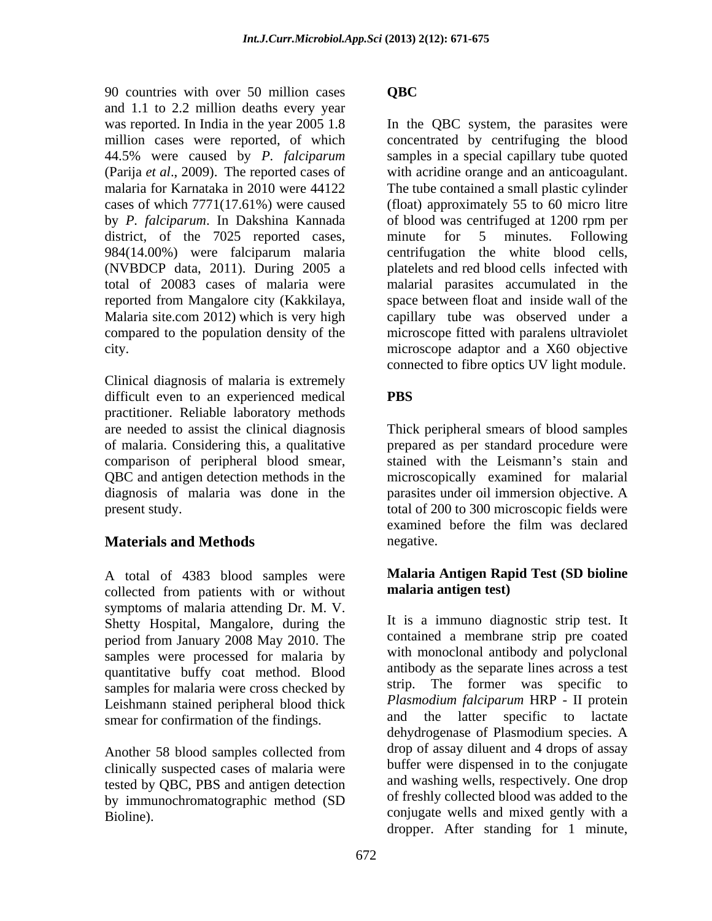90 countries with over 50 million cases OBC and 1.1 to 2.2 million deaths every year (Parija *et al*., 2009). The reported cases of district, of the 7025 reported cases, minute for 5 minutes. Following (NVBDCP data, 2011). During 2005 a

connected to fibre optics UV light module.<br>Clinical diagnosis of malaria is extremely difficult even to an experienced medical PBS practitioner. Reliable laboratory methods are needed to assist the clinical diagnosis Thick peripheral smears of blood samples of malaria. Considering this, a qualitative comparison of peripheral blood smear, QBC and antigen detection methods in the microscopically examined for malarial diagnosis of malaria was done in the parasites under oil immersion objective. A

# **Materials and Methods** negative.

A total of 4383 blood samples were collected from patients with or without symptoms of malaria attending Dr. M. V. Shetty Hospital, Mangalore, during the period from January 2008 May 2010. The samples were processed for malaria by quantitative buffy coat method. Blood samples for malaria were cross checked by Leishmann stained peripheral blood thick Plast<br>smear for confirmation of the findings and smear for confirmation of the findings.

clinically suspected cases of malaria were tested by QBC, PBS and antigen detection by immunochromatographic method (SD

## **QBC**

was reported. In India in the year 2005 1.8 In the QBC system, the parasites were million cases were reported, of which concentrated by centrifuging the blood 44.5% were caused by *P. falciparum* samples in a special capillary tube quoted malaria for Karnataka in 2010 were 44122 The tube contained a small plastic cylinder cases of which 7771(17.61%) were caused (float) approximately 55 to 60 micro litre by *P. falciparum*. In Dakshina Kannada of blood was centrifuged at 1200 rpm per 984(14.00%) were falciparum malaria centrifugation the white blood cells, total of 20083 cases of malaria were malarial parasites accumulated in the reported from Mangalore city (Kakkilaya, space between float and inside wall of the Malaria site.com 2012) which is very high capillary tube was observed under a compared to the population density of the microscope fitted with paralens ultraviolet city. microscope adaptor and a X60 objective with acridine orange and an anticoagulant. minute for 5 minutes. Following platelets and red blood cells infected with space between float and inside wall of the capillary tube was observed under a connected to fibre optics UV light module.

present study. The study of 200 to 300 microscopic fields were **PBS** Thick peripheral smears of blood samples prepared as per standard procedure were stained with the Leismann's stain and examined before the film was declared negative.

### **Malaria Antigen Rapid Test (SD bioline malaria antigen test)**

Another 58 blood samples collected from the drop of assay diluent and 4 drops of assay Bioline). conjugate wells and mixed gently with a It is a immuno diagnostic strip test. It contained a membrane strip pre coated with monoclonal antibody and polyclonal antibody as the separate lines across a test strip. The former was specific to *Plasmodium falciparum* HRP - II protein the latter specific to lactate dehydrogenase of Plasmodium species. A drop of assay diluent and 4 drops of assay buffer were dispensed in to the conjugate and washing wells, respectively. One drop of freshly collected blood was added to the dropper. After standing for 1 minute,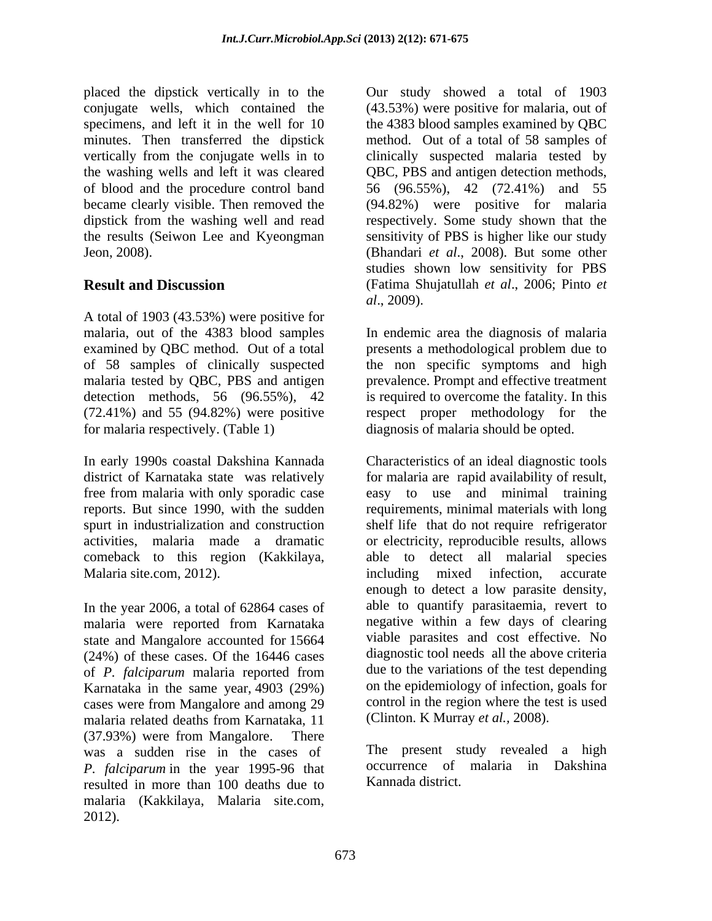placed the dipstick vertically in to the Our study showed a total of 1903 conjugate wells, which contained the (43.53%) were positive for malaria, out of specimens, and left it in the well for 10 the 4383 blood samples examined by QBC minutes. Then transferred the dipstick method. Out of a total of 58 samples of vertically from the conjugate wells in to clinically suspected malaria tested by the washing wells and left it was cleared QBC, PBS and antigen detection methods, of blood and the procedure control band 56 (96.55%), 42 (72.41%) and 55 became clearly visible. Then removed the (94.82%) were positive for malaria dipstick from the washing well and read respectively. Some study shown that the the results (Seiwon Lee and Kyeongman sensitivity of PBS is higher like our study Jeon, 2008). (Bhandari *et al*., 2008). But some other

A total of 1903 (43.53%) were positive for

Malaria site.com, 2012).

In the year 2006, a total of 62864 cases of malaria were reported from Karnataka state and Mangalore accounted for 15664 (24%) of these cases. Of the 16446 cases of *P. falciparum* malaria reported from Karnataka in the same year, 4903 (29%) cases were from Mangalore and among 29 malaria related deaths from Karnataka, 11 (37.93%) were from Mangalore. There was a sudden rise in the cases of *P. falciparum* in the year 1995-96 that resulted in more than 100 deaths due to malaria (Kakkilaya, Malaria site.com,

**Result and Discussion** (Fatima Shujatullah *et al*., 2006; Pinto *et*  studies shown low sensitivity for PBS *al*., 2009).

malaria, out of the 4383 blood samples In endemic area the diagnosis of malaria examined by QBC method. Out of a total presents a methodological problem due to of 58 samples of clinically suspected the non specific symptoms and high malaria tested by QBC, PBS and antigen prevalence. Prompt and effective treatment detection methods, 56 (96.55%), 42 is required to overcome the fatality. In this (72.41%) and 55 (94.82%) were positive respect proper methodology for the for malaria respectively. (Table 1) diagnosis of malaria should be opted.

In early 1990s coastal Dakshina Kannada Characteristics of an ideal diagnostic tools district of Karnataka state was relatively for malaria are rapid availability of result, free from malaria with only sporadic case easy to use and minimal training reports. But since 1990, with the sudden requirements, minimal materials with long spurt in industrialization and construction shelf life that do not require refrigerator activities, malaria made a dramatic or electricity, reproducible results, allows comeback to this region (Kakkilaya, able to detect all malarial species phase the distributional in the OBI will be the contradit of the contradit of the collision of 1903 block showed a total of 1903 block showed a total of the collision of the collision of the collision of the collision of including mixed infection, accurate enough to detect a low parasite density, able to quantify parasitaemia, revert to negative within a few days of clearing viable parasites and cost effective. No diagnostic tool needs all the above criteria due to the variations of the test depending on the epidemiology of infection, goals for control in the region where the test is used (Clinton. K Murray *et al.,* 2008).

The present study revealed a high occurrence of malaria in Dakshina Kannada district.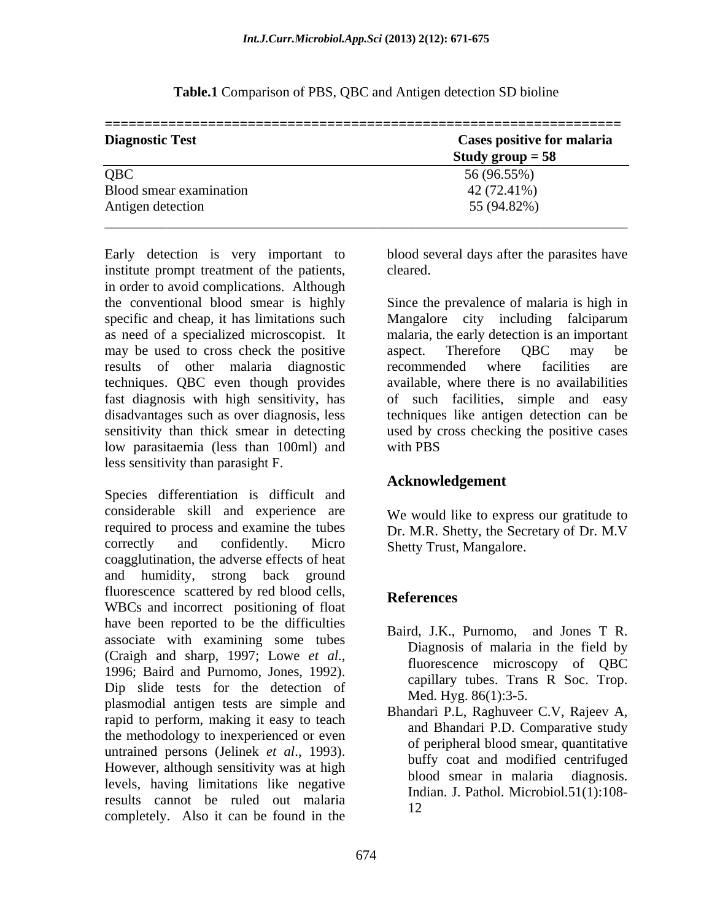| <b>Diagnostic Test</b>  | <b>Cases positive for malaria</b> |
|-------------------------|-----------------------------------|
|                         | Study group $= 58$                |
| QBC                     | 56 (96.55%)                       |
| Blood smear examination | 42 (72.41%)                       |
| Antigen detection       | 55 (94.82%)                       |

**Table.1** Comparison of PBS, QBC and Antigen detection SD bioline

Early detection is very important to blood several days after the parasites have institute prompt treatment of the patients, cleared. in order to avoid complications. Although the conventional blood smear is highly Since the prevalence of malaria is high in specific and cheap, it has limitations such Mangalore city including falciparum as need of a specialized microscopist. It malaria, the early detection is an important may be used to cross check the positive aspect. Therefore QBC may be results of other malaria diagnostic techniques. QBC even though provides fast diagnosis with high sensitivity, has of such facilities, simple and easy disadvantages such as over diagnosis, less sensitivity than thick smear in detecting used by cross checking the positive cases low parasitaemia (less than 100ml) and less sensitivity than parasight F.

Species differentiation is difficult and considerable skill and experience are required to process and examine the tubes Dr. M.R. Shetty, the Secretary of Dr. M.V correctly and confidently. Micro Shetty Trust Mangalore. coagglutination, the adverse effects of heat and humidity, strong back ground fluorescence scattered by red blood cells, **References** WBCs and incorrect positioning of float have been reported to be the difficulties associate with examining some tubes (Craigh and sharp, 1997; Lowe *et al.*, 1992).<br>
1996; Baird and Purnomo, Jones, 1992). 2001; Continues the Creative Press, Press, Treative Chapter and Purnomo,  $\frac{1996}{2}$ . Dip slide tests for the detection of plasmodial antigen tests are simple and rapid to perform, making it easy to teach the methodology to inexperienced or even untrained persons (Jelinek *et al*., 1993). However, although sensitivity was at high blood smear in malaria diagnosis. levels, having limitations like negative results cannot be ruled out malaria completely. Also it can be found in the

cleared.

aspect. Therefore QBC may be recommended where facilities are available, where there is no availabilities techniques like antigen detection can be with PBS **Exercise 20** 

## **Acknowledgement**

We would like to express our gratitude to Shetty Trust, Mangalore.

# **References**

- Baird, J.K., Purnomo, and Jones T R. Diagnosis of malaria in the field by fluorescence microscopy of QBC capillary tubes. Trans R Soc. Trop. Med. Hyg. 86(1):3-5.
- Bhandari P.L, Raghuveer C.V, Rajeev A, and Bhandari P.D. Comparative study of peripheral blood smear, quantitative buffy coat and modified centrifuged blood smear in malaria diagnosis. Indian. J. Pathol. Microbiol.51(1):108- 12